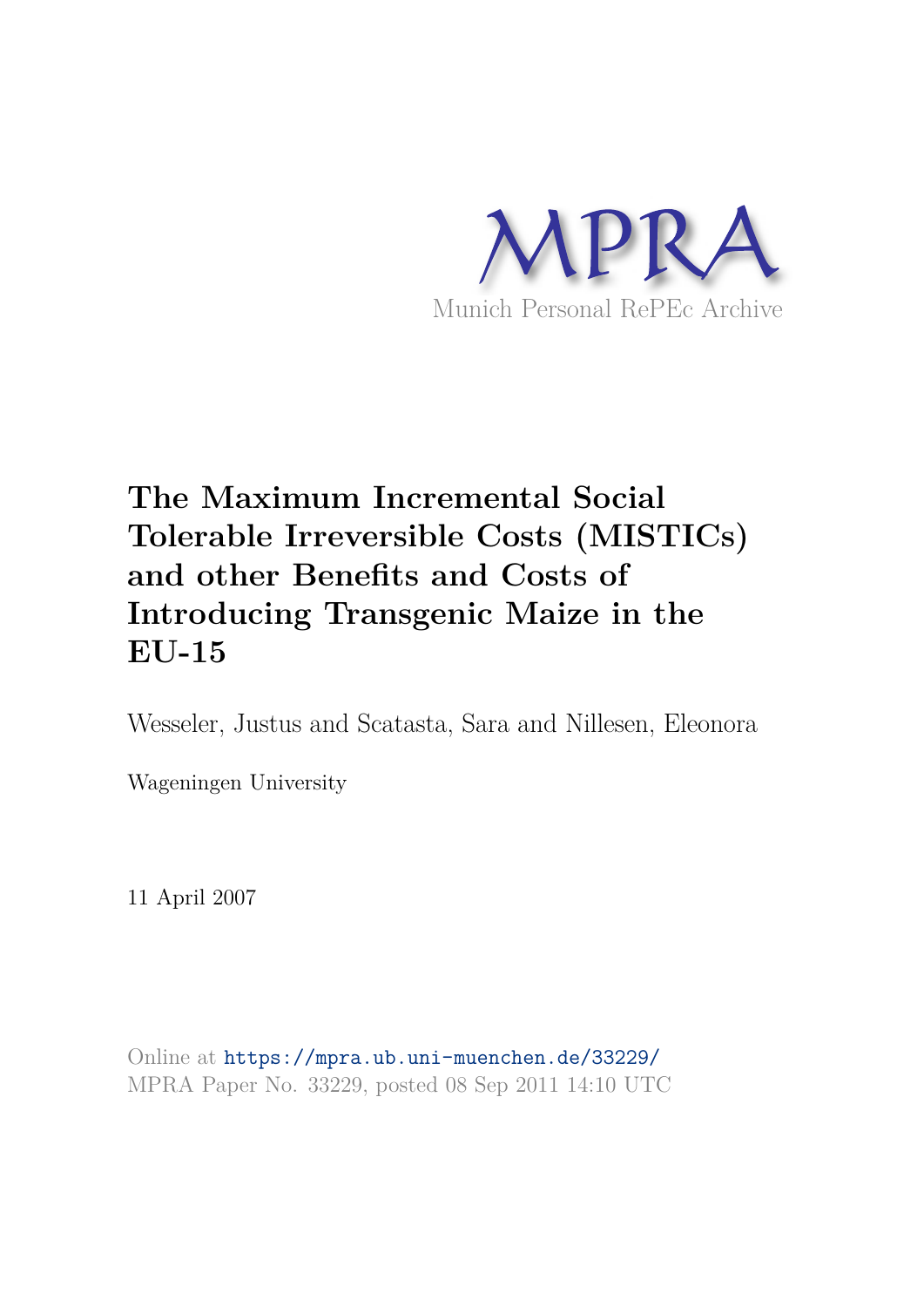

# **The Maximum Incremental Social Tolerable Irreversible Costs (MISTICs) and other Benefits and Costs of Introducing Transgenic Maize in the EU-15**

Wesseler, Justus and Scatasta, Sara and Nillesen, Eleonora

Wageningen University

11 April 2007

Online at https://mpra.ub.uni-muenchen.de/33229/ MPRA Paper No. 33229, posted 08 Sep 2011 14:10 UTC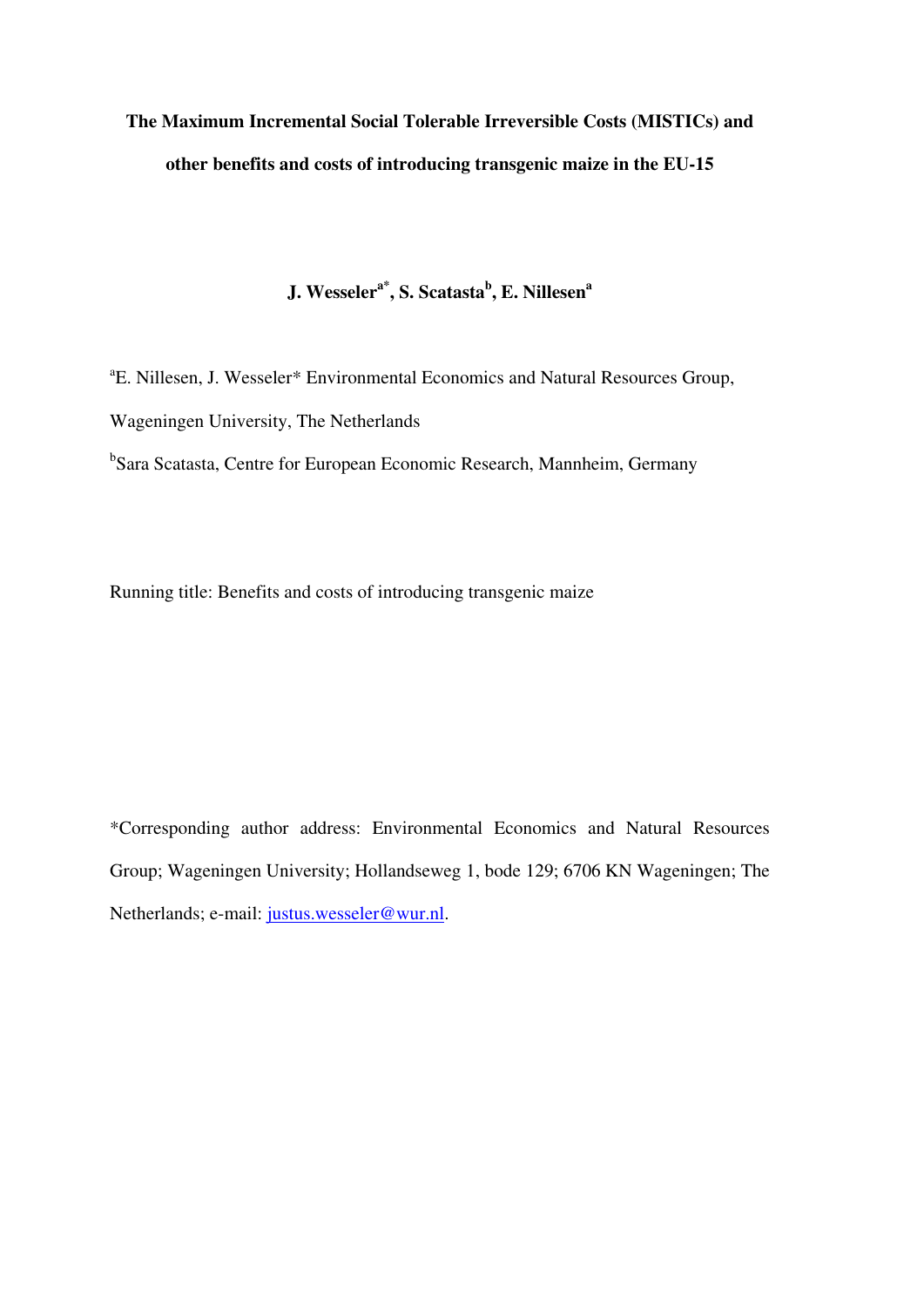# **The Maximum Incremental Social Tolerable Irreversible Costs (MISTICs) and other benefits and costs of introducing transgenic maize in the EU-15**

**J. Wesselera\*, S. Scatasta<sup>b</sup> , E. Nillesen<sup>a</sup>**

a E. Nillesen, J. Wesseler\* Environmental Economics and Natural Resources Group, Wageningen University, The Netherlands <sup>b</sup>Sara Scatasta, Centre for European Economic Research, Mannheim, Germany

Running title: Benefits and costs of introducing transgenic maize

\*Corresponding author address: Environmental Economics and Natural Resources Group; Wageningen University; Hollandseweg 1, bode 129; 6706 KN Wageningen; The Netherlands; e-mail: justus.wesseler@wur.nl.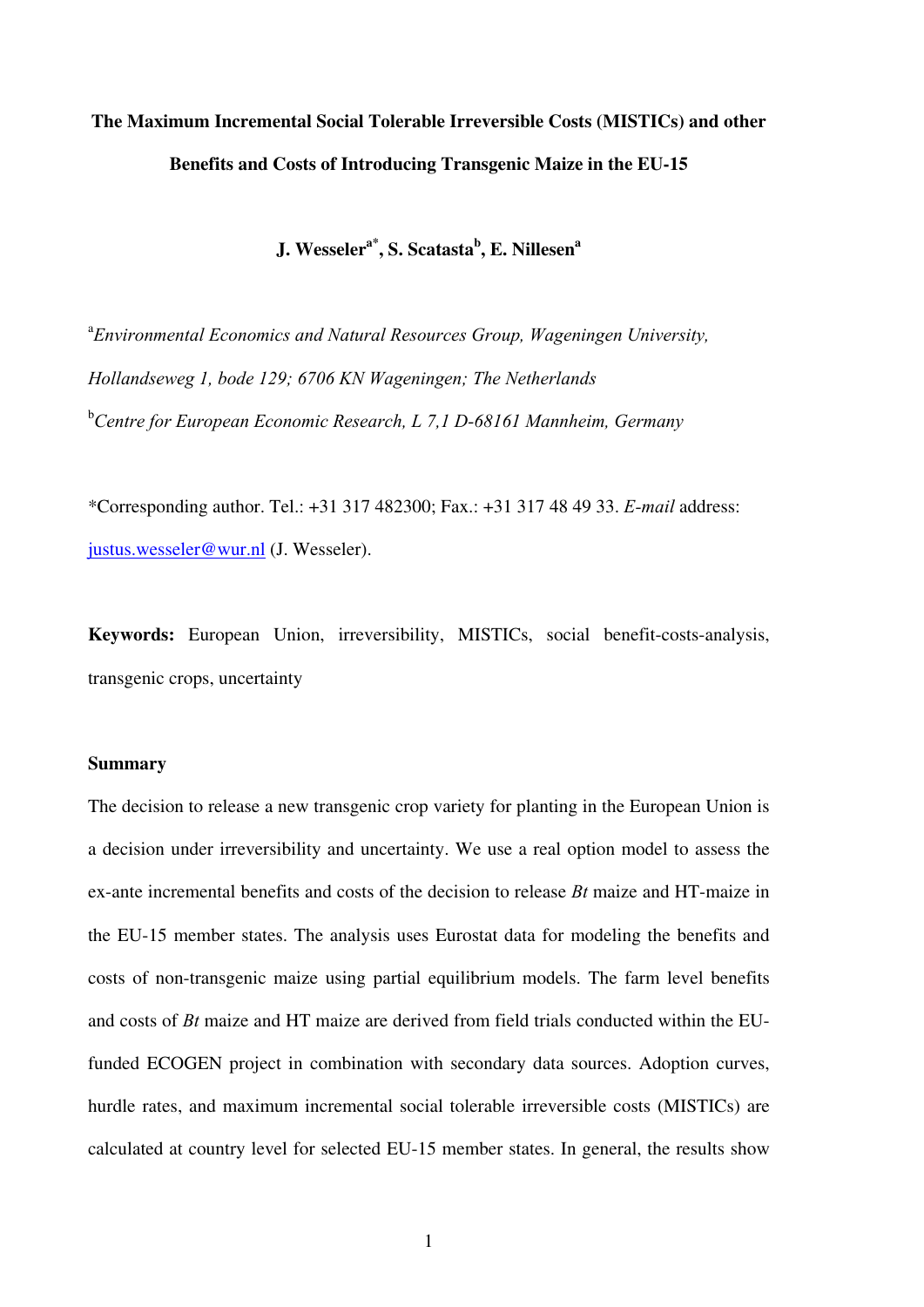# **The Maximum Incremental Social Tolerable Irreversible Costs (MISTICs) and other Benefits and Costs of Introducing Transgenic Maize in the EU-15**

**J. Wesselera\*, S. Scatasta<sup>b</sup> , E. Nillesen<sup>a</sup>**

<sup>a</sup> Environmental Economics and Natural Resources Group, Wageningen University, *Hollandseweg 1, bode 129; 6706 KN Wageningen; The Netherlands*  <sup>b</sup>*Centre for European Economic Research, L 7,1 D-68161 Mannheim, Germany* 

\*Corresponding author. Tel.: +31 317 482300; Fax.: +31 317 48 49 33. *E-mail* address: justus.wesseler@wur.nl (J. Wesseler).

**Keywords:** European Union, irreversibility, MISTICs, social benefit-costs-analysis, transgenic crops, uncertainty

### **Summary**

The decision to release a new transgenic crop variety for planting in the European Union is a decision under irreversibility and uncertainty. We use a real option model to assess the ex-ante incremental benefits and costs of the decision to release *Bt* maize and HT-maize in the EU-15 member states. The analysis uses Eurostat data for modeling the benefits and costs of non-transgenic maize using partial equilibrium models. The farm level benefits and costs of *Bt* maize and HT maize are derived from field trials conducted within the EUfunded ECOGEN project in combination with secondary data sources. Adoption curves, hurdle rates, and maximum incremental social tolerable irreversible costs (MISTICs) are calculated at country level for selected EU-15 member states. In general, the results show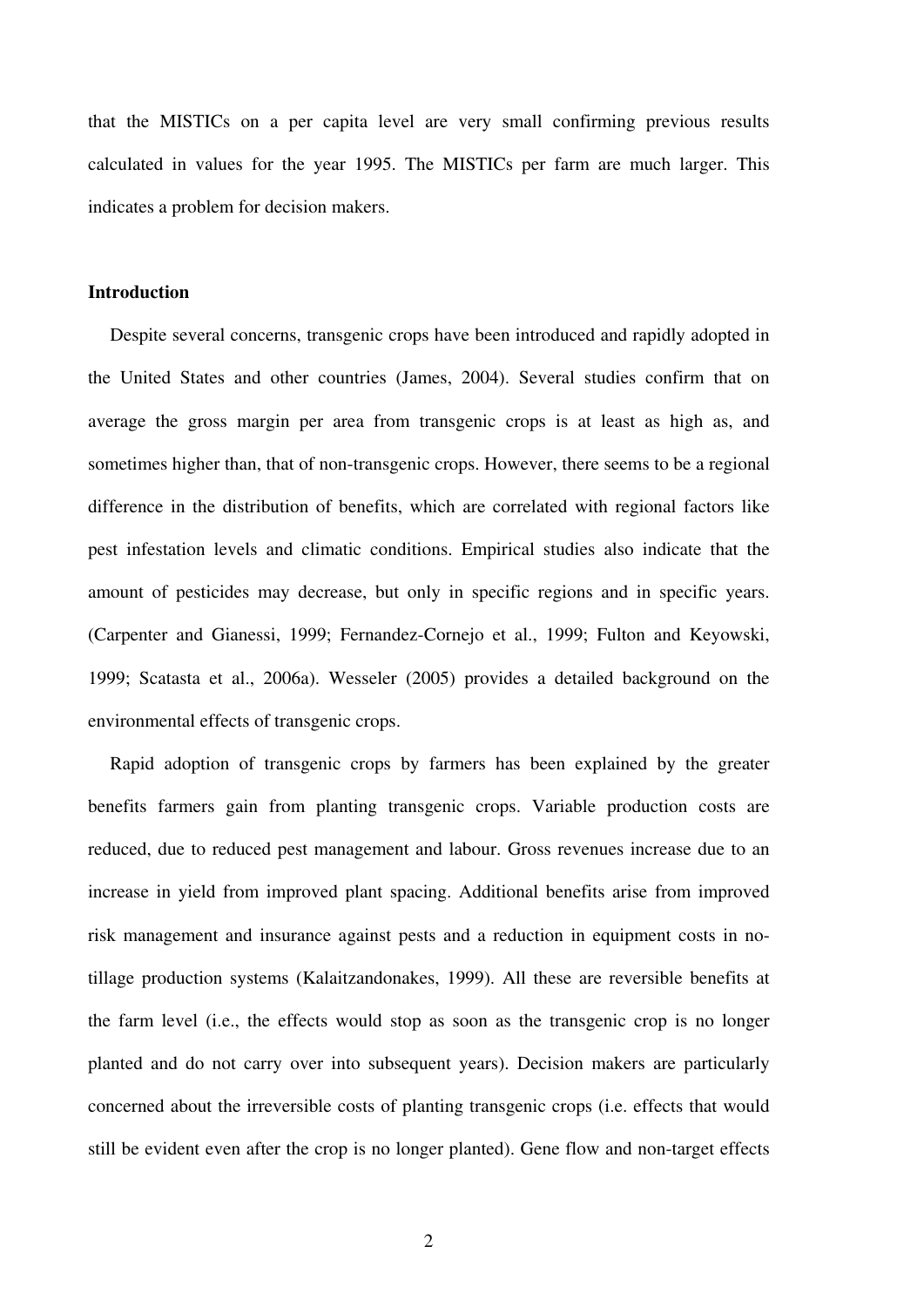that the MISTICs on a per capita level are very small confirming previous results calculated in values for the year 1995. The MISTICs per farm are much larger. This indicates a problem for decision makers.

### **Introduction**

Despite several concerns, transgenic crops have been introduced and rapidly adopted in the United States and other countries (James, 2004). Several studies confirm that on average the gross margin per area from transgenic crops is at least as high as, and sometimes higher than, that of non-transgenic crops. However, there seems to be a regional difference in the distribution of benefits, which are correlated with regional factors like pest infestation levels and climatic conditions. Empirical studies also indicate that the amount of pesticides may decrease, but only in specific regions and in specific years. (Carpenter and Gianessi, 1999; Fernandez-Cornejo et al., 1999; Fulton and Keyowski, 1999; Scatasta et al., 2006a). Wesseler (2005) provides a detailed background on the environmental effects of transgenic crops.

Rapid adoption of transgenic crops by farmers has been explained by the greater benefits farmers gain from planting transgenic crops. Variable production costs are reduced, due to reduced pest management and labour. Gross revenues increase due to an increase in yield from improved plant spacing. Additional benefits arise from improved risk management and insurance against pests and a reduction in equipment costs in notillage production systems (Kalaitzandonakes, 1999). All these are reversible benefits at the farm level (i.e., the effects would stop as soon as the transgenic crop is no longer planted and do not carry over into subsequent years). Decision makers are particularly concerned about the irreversible costs of planting transgenic crops (i.e. effects that would still be evident even after the crop is no longer planted). Gene flow and non-target effects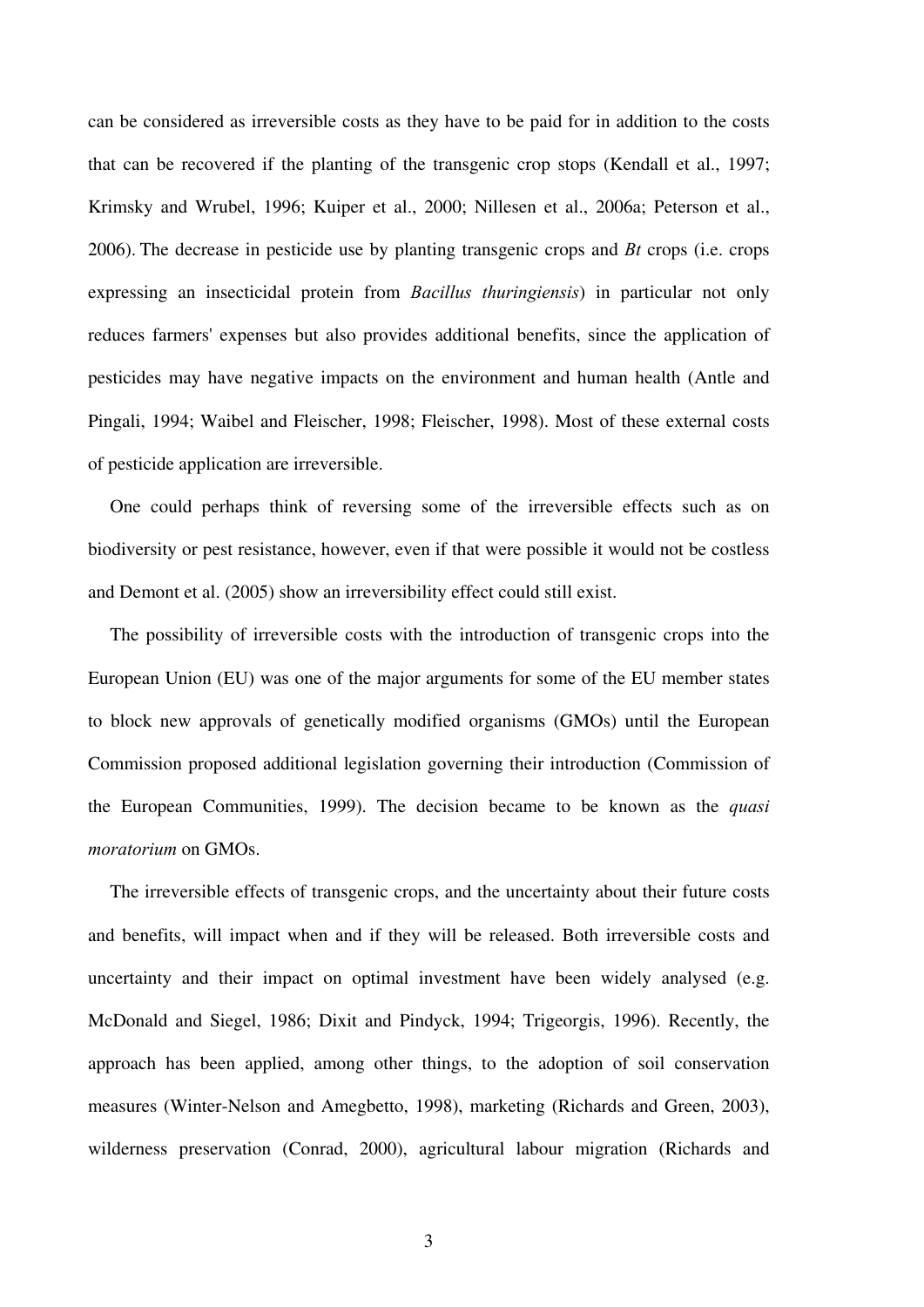can be considered as irreversible costs as they have to be paid for in addition to the costs that can be recovered if the planting of the transgenic crop stops (Kendall et al., 1997; Krimsky and Wrubel, 1996; Kuiper et al., 2000; Nillesen et al., 2006a; Peterson et al., 2006). The decrease in pesticide use by planting transgenic crops and *Bt* crops (i.e. crops expressing an insecticidal protein from *Bacillus thuringiensis*) in particular not only reduces farmers' expenses but also provides additional benefits, since the application of pesticides may have negative impacts on the environment and human health (Antle and Pingali, 1994; Waibel and Fleischer, 1998; Fleischer, 1998). Most of these external costs of pesticide application are irreversible.

One could perhaps think of reversing some of the irreversible effects such as on biodiversity or pest resistance, however, even if that were possible it would not be costless and Demont et al. (2005) show an irreversibility effect could still exist.

The possibility of irreversible costs with the introduction of transgenic crops into the European Union (EU) was one of the major arguments for some of the EU member states to block new approvals of genetically modified organisms (GMOs) until the European Commission proposed additional legislation governing their introduction (Commission of the European Communities, 1999). The decision became to be known as the *quasi moratorium* on GMOs.

The irreversible effects of transgenic crops, and the uncertainty about their future costs and benefits, will impact when and if they will be released. Both irreversible costs and uncertainty and their impact on optimal investment have been widely analysed (e.g. McDonald and Siegel, 1986; Dixit and Pindyck, 1994; Trigeorgis, 1996). Recently, the approach has been applied, among other things, to the adoption of soil conservation measures (Winter-Nelson and Amegbetto, 1998), marketing (Richards and Green, 2003), wilderness preservation (Conrad, 2000), agricultural labour migration (Richards and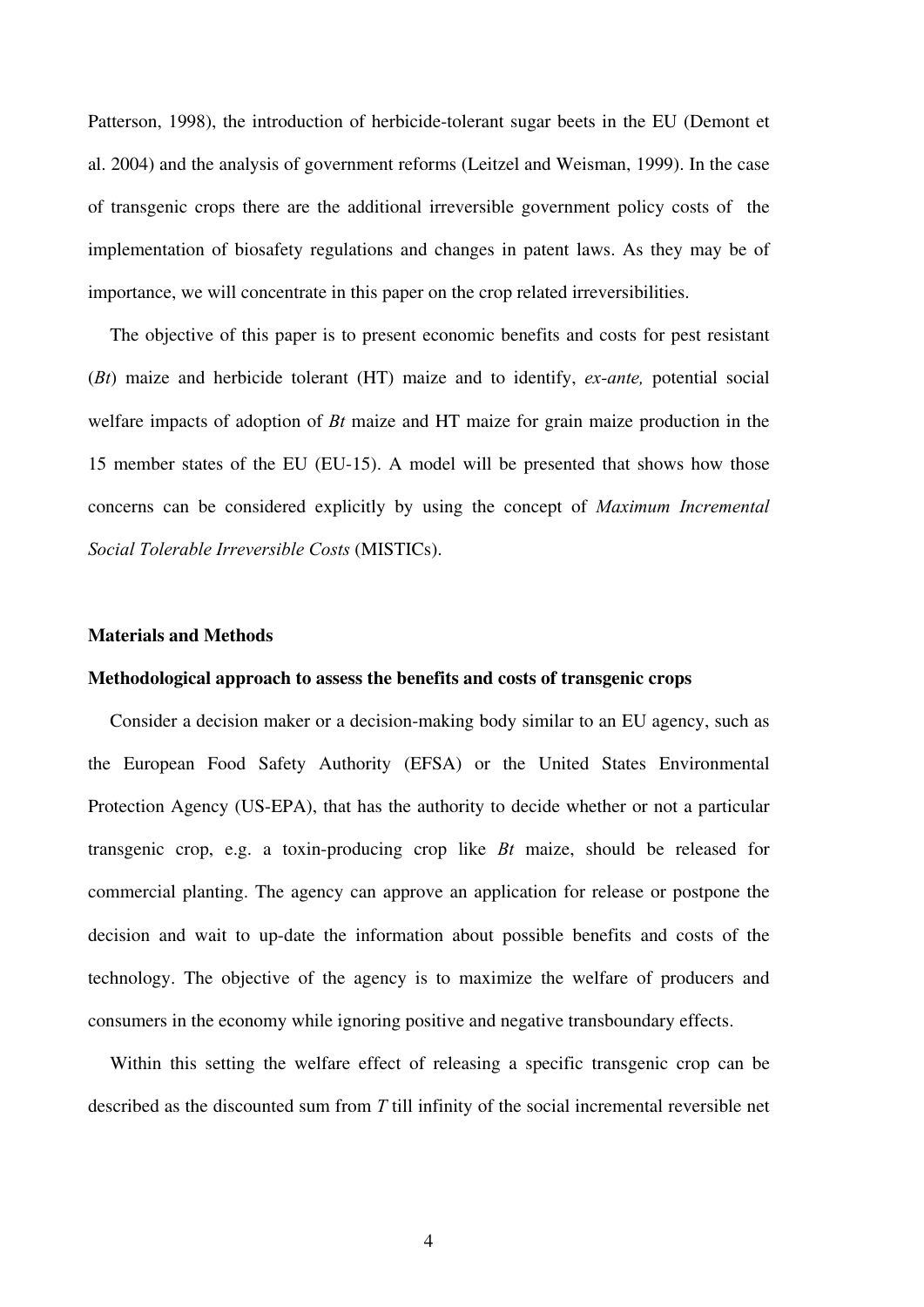Patterson, 1998), the introduction of herbicide-tolerant sugar beets in the EU (Demont et al. 2004) and the analysis of government reforms (Leitzel and Weisman, 1999). In the case of transgenic crops there are the additional irreversible government policy costs of the implementation of biosafety regulations and changes in patent laws. As they may be of importance, we will concentrate in this paper on the crop related irreversibilities.

The objective of this paper is to present economic benefits and costs for pest resistant (*Bt*) maize and herbicide tolerant (HT) maize and to identify, *ex-ante,* potential social welfare impacts of adoption of *Bt* maize and HT maize for grain maize production in the 15 member states of the EU (EU-15). A model will be presented that shows how those concerns can be considered explicitly by using the concept of *Maximum Incremental Social Tolerable Irreversible Costs* (MISTICs).

#### **Materials and Methods**

### **Methodological approach to assess the benefits and costs of transgenic crops**

Consider a decision maker or a decision-making body similar to an EU agency, such as the European Food Safety Authority (EFSA) or the United States Environmental Protection Agency (US-EPA), that has the authority to decide whether or not a particular transgenic crop, e.g. a toxin-producing crop like *Bt* maize, should be released for commercial planting. The agency can approve an application for release or postpone the decision and wait to up-date the information about possible benefits and costs of the technology. The objective of the agency is to maximize the welfare of producers and consumers in the economy while ignoring positive and negative transboundary effects.

Within this setting the welfare effect of releasing a specific transgenic crop can be described as the discounted sum from *T* till infinity of the social incremental reversible net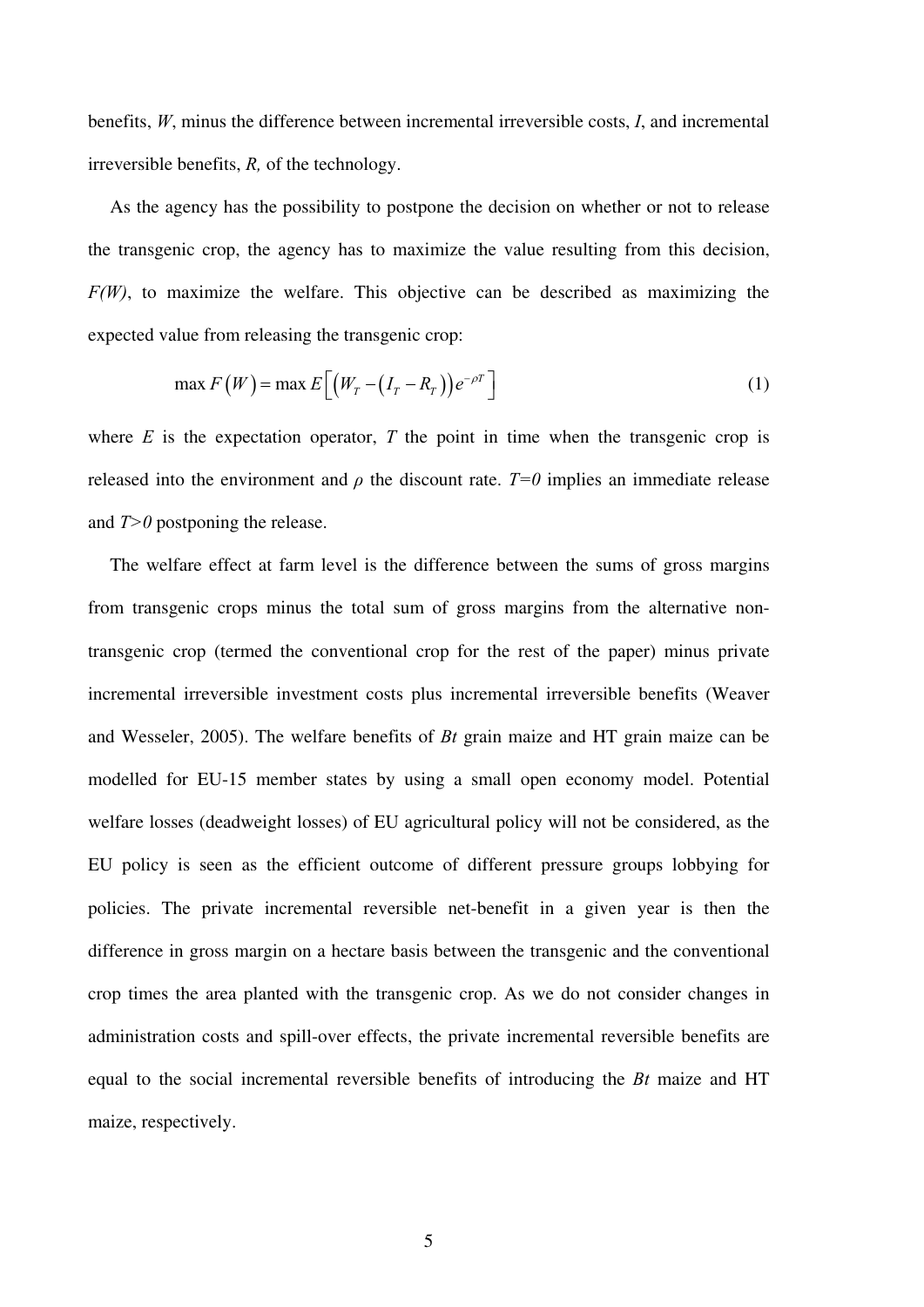benefits, *W*, minus the difference between incremental irreversible costs, *I*, and incremental irreversible benefits, *R,* of the technology.

As the agency has the possibility to postpone the decision on whether or not to release the transgenic crop, the agency has to maximize the value resulting from this decision, *F(W)*, to maximize the welfare. This objective can be described as maximizing the expected value from releasing the transgenic crop:

$$
\max F(W) = \max E\Big[\Big(W_T - \big(I_T - R_T\big)\Big)e^{-\rho T}\Big]
$$
\n(1)

where  $E$  is the expectation operator,  $T$  the point in time when the transgenic crop is released into the environment and  $\rho$  the discount rate.  $T=0$  implies an immediate release and *T>0* postponing the release.

The welfare effect at farm level is the difference between the sums of gross margins from transgenic crops minus the total sum of gross margins from the alternative nontransgenic crop (termed the conventional crop for the rest of the paper) minus private incremental irreversible investment costs plus incremental irreversible benefits (Weaver and Wesseler, 2005). The welfare benefits of *Bt* grain maize and HT grain maize can be modelled for EU-15 member states by using a small open economy model. Potential welfare losses (deadweight losses) of EU agricultural policy will not be considered, as the EU policy is seen as the efficient outcome of different pressure groups lobbying for policies. The private incremental reversible net-benefit in a given year is then the difference in gross margin on a hectare basis between the transgenic and the conventional crop times the area planted with the transgenic crop. As we do not consider changes in administration costs and spill-over effects, the private incremental reversible benefits are equal to the social incremental reversible benefits of introducing the *Bt* maize and HT maize, respectively.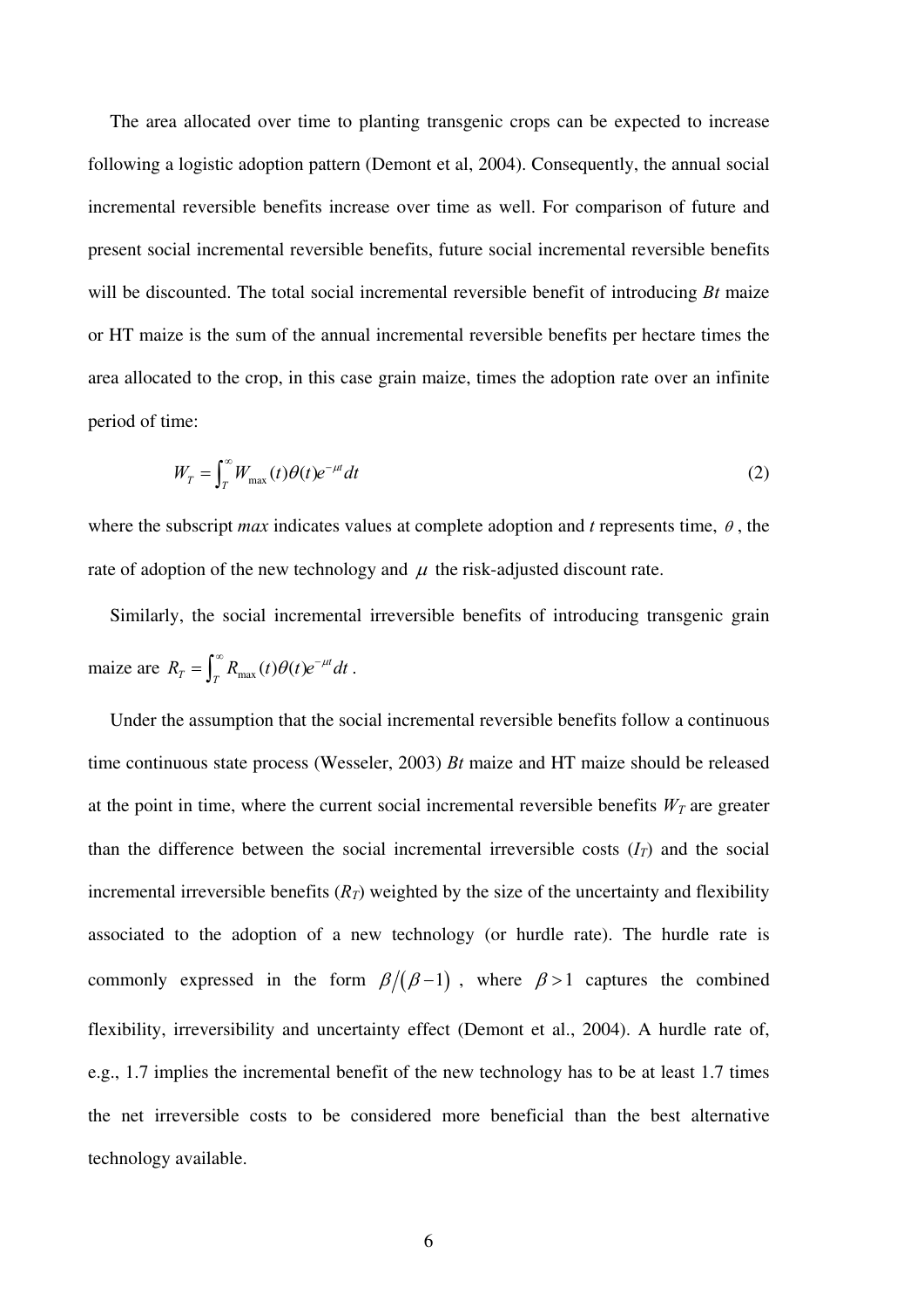The area allocated over time to planting transgenic crops can be expected to increase following a logistic adoption pattern (Demont et al, 2004). Consequently, the annual social incremental reversible benefits increase over time as well. For comparison of future and present social incremental reversible benefits, future social incremental reversible benefits will be discounted. The total social incremental reversible benefit of introducing *Bt* maize or HT maize is the sum of the annual incremental reversible benefits per hectare times the area allocated to the crop, in this case grain maize, times the adoption rate over an infinite period of time:

$$
W_T = \int_T^{\infty} W_{\text{max}}(t) \theta(t) e^{-\mu t} dt
$$
\n(2)

where the subscript *max* indicates values at complete adoption and *t* represents time,  $\theta$ , the rate of adoption of the new technology and  $\mu$  the risk-adjusted discount rate.

Similarly, the social incremental irreversible benefits of introducing transgenic grain maize are  $R_T = \int_T^{\infty} R_{\text{max}}(t) \theta(t) e^{-\mu t} dt$ .

Under the assumption that the social incremental reversible benefits follow a continuous time continuous state process (Wesseler, 2003) *Bt* maize and HT maize should be released at the point in time, where the current social incremental reversible benefits  $W_T$  are greater than the difference between the social incremental irreversible costs  $(I_T)$  and the social incremental irreversible benefits  $(R_T)$  weighted by the size of the uncertainty and flexibility associated to the adoption of a new technology (or hurdle rate). The hurdle rate is commonly expressed in the form  $\beta/(\beta-1)$ , where  $\beta > 1$  captures the combined flexibility, irreversibility and uncertainty effect (Demont et al., 2004). A hurdle rate of, e.g., 1.7 implies the incremental benefit of the new technology has to be at least 1.7 times the net irreversible costs to be considered more beneficial than the best alternative technology available.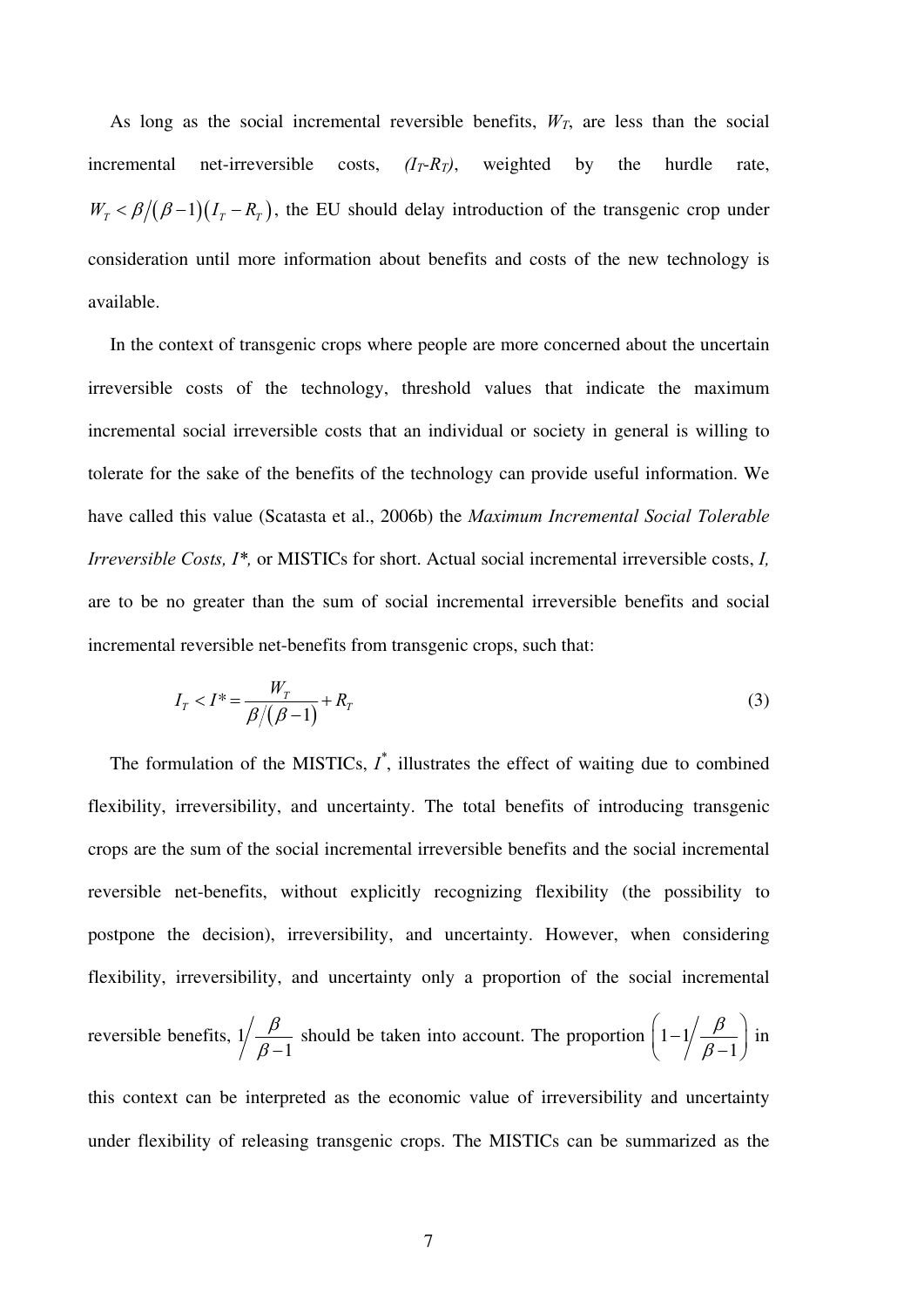As long as the social incremental reversible benefits,  $W_T$ , are less than the social incremental net-irreversible costs,  $(I_T$ - $R_T$ ), weighted by the hurdle rate,  $W_T < \beta/(\beta-1)(I_T - R_T)$ , the EU should delay introduction of the transgenic crop under consideration until more information about benefits and costs of the new technology is available.

In the context of transgenic crops where people are more concerned about the uncertain irreversible costs of the technology, threshold values that indicate the maximum incremental social irreversible costs that an individual or society in general is willing to tolerate for the sake of the benefits of the technology can provide useful information. We have called this value (Scatasta et al., 2006b) the *Maximum Incremental Social Tolerable Irreversible Costs, I\*,* or MISTICs for short. Actual social incremental irreversible costs, *I,* are to be no greater than the sum of social incremental irreversible benefits and social incremental reversible net-benefits from transgenic crops, such that:

$$
I_T < I^* = \frac{W_T}{\beta/(\beta - 1)} + R_T \tag{3}
$$

The formulation of the MISTICs,  $I^*$ , illustrates the effect of waiting due to combined flexibility, irreversibility, and uncertainty. The total benefits of introducing transgenic crops are the sum of the social incremental irreversible benefits and the social incremental reversible net-benefits, without explicitly recognizing flexibility (the possibility to postpone the decision), irreversibility, and uncertainty. However, when considering flexibility, irreversibility, and uncertainty only a proportion of the social incremental reversible benefits, 1 1  $\beta$  $\beta$ should be taken into account. The proportion  $|1 - 1|$ 1  $\beta$  $\beta$  $\left(1-\frac{1}{\beta}\right)\frac{\beta}{\beta-1}$  in this context can be interpreted as the economic value of irreversibility and uncertainty under flexibility of releasing transgenic crops. The MISTICs can be summarized as the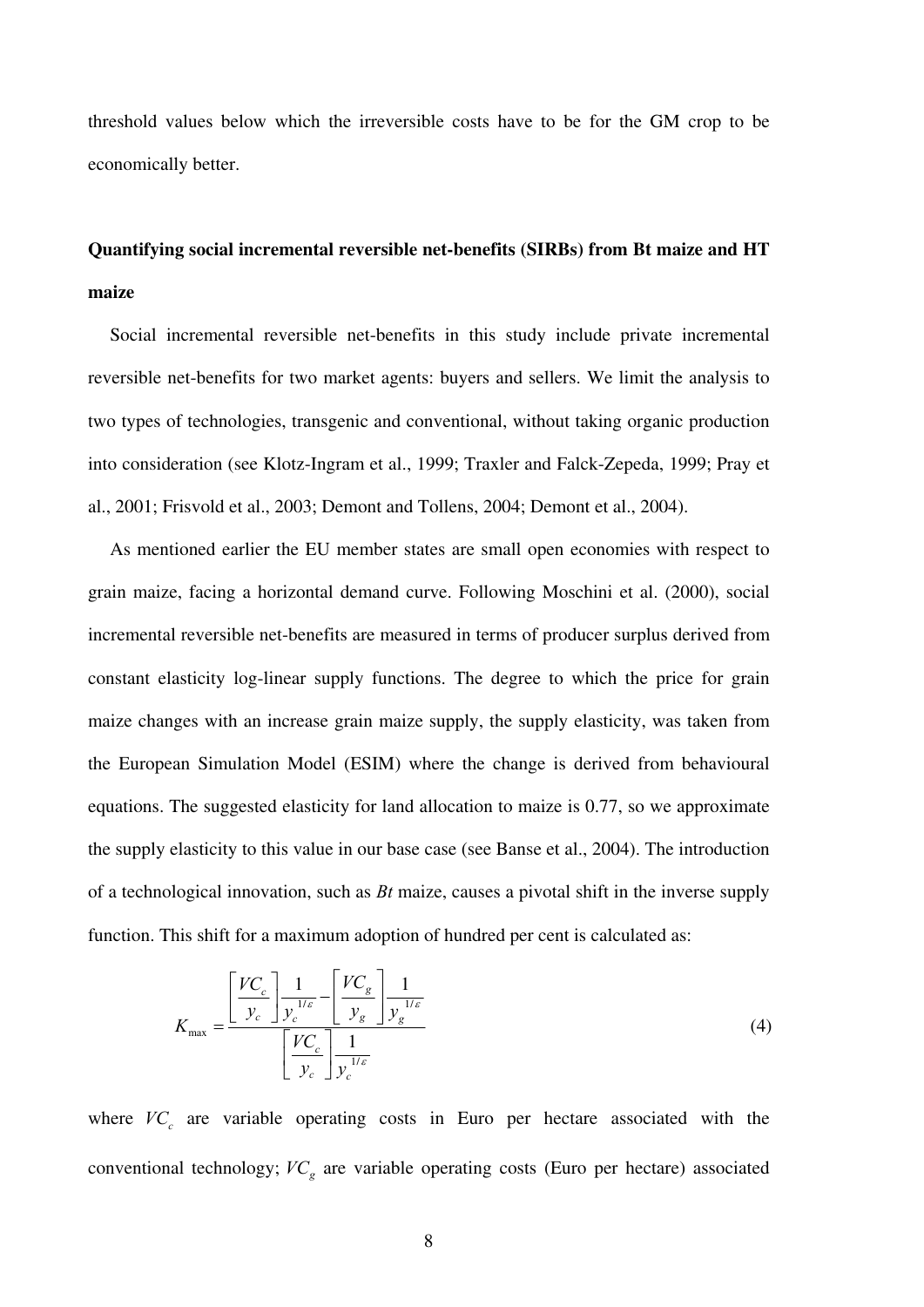threshold values below which the irreversible costs have to be for the GM crop to be economically better.

# **Quantifying social incremental reversible net-benefits (SIRBs) from Bt maize and HT maize**

Social incremental reversible net-benefits in this study include private incremental reversible net-benefits for two market agents: buyers and sellers. We limit the analysis to two types of technologies, transgenic and conventional, without taking organic production into consideration (see Klotz-Ingram et al., 1999; Traxler and Falck-Zepeda, 1999; Pray et al., 2001; Frisvold et al., 2003; Demont and Tollens, 2004; Demont et al., 2004).

As mentioned earlier the EU member states are small open economies with respect to grain maize, facing a horizontal demand curve. Following Moschini et al. (2000), social incremental reversible net-benefits are measured in terms of producer surplus derived from constant elasticity log-linear supply functions. The degree to which the price for grain maize changes with an increase grain maize supply, the supply elasticity, was taken from the European Simulation Model (ESIM) where the change is derived from behavioural equations. The suggested elasticity for land allocation to maize is 0.77, so we approximate the supply elasticity to this value in our base case (see Banse et al., 2004). The introduction of a technological innovation, such as *Bt* maize, causes a pivotal shift in the inverse supply function. This shift for a maximum adoption of hundred per cent is calculated as:

$$
K_{\max} = \frac{\left[\frac{V C_c}{y_c}\right] \frac{1}{y_c^{1/\varepsilon}} - \left[\frac{V C_g}{y_g}\right] \frac{1}{y_g^{1/\varepsilon}}}{\left[\frac{V C_c}{y_c}\right] \frac{1}{y_c^{1/\varepsilon}}}
$$
(4)

where *VC<sup>c</sup>* are variable operating costs in Euro per hectare associated with the conventional technology; *VC<sup>g</sup>* are variable operating costs (Euro per hectare) associated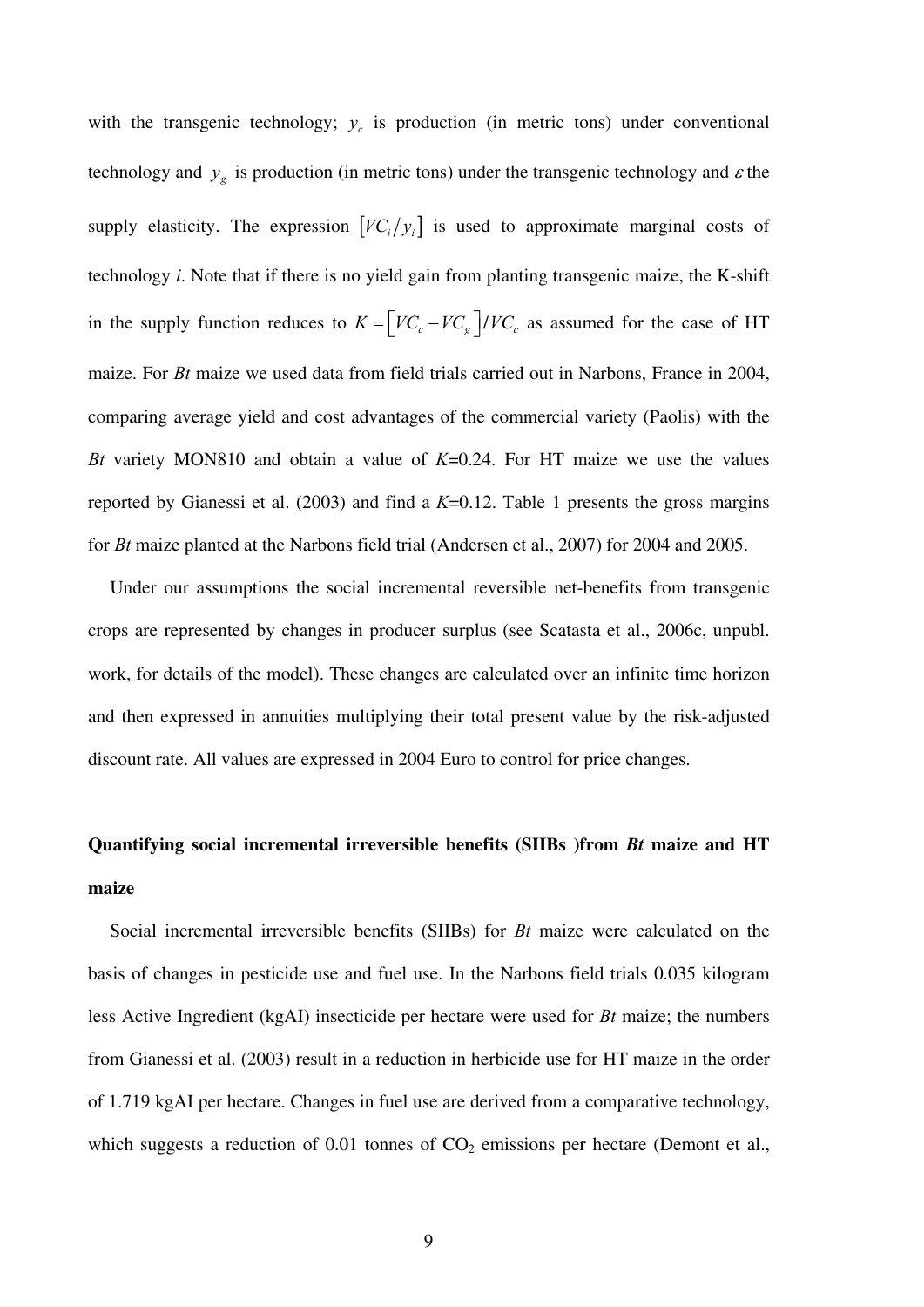with the transgenic technology;  $y_c$  is production (in metric tons) under conventional technology and  $y_g$  is production (in metric tons) under the transgenic technology and  $\varepsilon$  the supply elasticity. The expression  $[VC_i/y_i]$  is used to approximate marginal costs of technology *i*. Note that if there is no yield gain from planting transgenic maize, the K-shift in the supply function reduces to  $K = \left[ VC_c - VC_g\right] / VC_c$  as assumed for the case of HT maize. For *Bt* maize we used data from field trials carried out in Narbons, France in 2004, comparing average yield and cost advantages of the commercial variety (Paolis) with the *Bt* variety MON810 and obtain a value of *K*=0.24. For HT maize we use the values reported by Gianessi et al. (2003) and find a *K*=0.12. Table 1 presents the gross margins for *Bt* maize planted at the Narbons field trial (Andersen et al., 2007) for 2004 and 2005.

Under our assumptions the social incremental reversible net-benefits from transgenic crops are represented by changes in producer surplus (see Scatasta et al., 2006c, unpubl. work, for details of the model). These changes are calculated over an infinite time horizon and then expressed in annuities multiplying their total present value by the risk-adjusted discount rate. All values are expressed in 2004 Euro to control for price changes.

# **Quantifying social incremental irreversible benefits (SIIBs )from** *Bt* **maize and HT maize**

Social incremental irreversible benefits (SIIBs) for *Bt* maize were calculated on the basis of changes in pesticide use and fuel use. In the Narbons field trials 0.035 kilogram less Active Ingredient (kgAI) insecticide per hectare were used for *Bt* maize; the numbers from Gianessi et al. (2003) result in a reduction in herbicide use for HT maize in the order of 1.719 kgAI per hectare. Changes in fuel use are derived from a comparative technology, which suggests a reduction of  $0.01$  tonnes of  $CO<sub>2</sub>$  emissions per hectare (Demont et al.,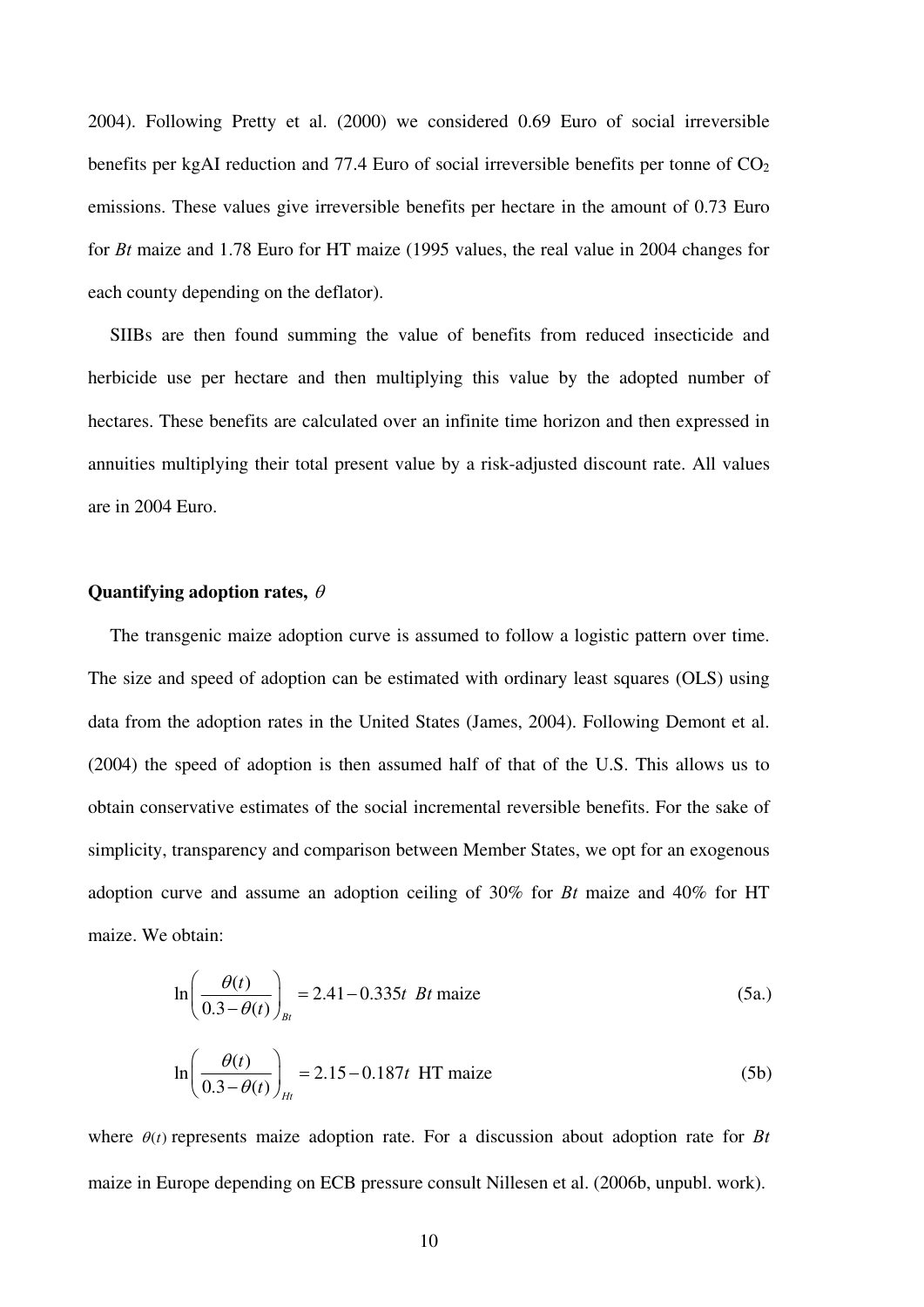2004). Following Pretty et al. (2000) we considered 0.69 Euro of social irreversible benefits per kgAI reduction and 77.4 Euro of social irreversible benefits per tonne of  $CO<sub>2</sub>$ emissions. These values give irreversible benefits per hectare in the amount of 0.73 Euro for *Bt* maize and 1.78 Euro for HT maize (1995 values, the real value in 2004 changes for each county depending on the deflator).

SIIBs are then found summing the value of benefits from reduced insecticide and herbicide use per hectare and then multiplying this value by the adopted number of hectares. These benefits are calculated over an infinite time horizon and then expressed in annuities multiplying their total present value by a risk-adjusted discount rate. All values are in 2004 Euro.

### **Quantifying adoption rates,**

The transgenic maize adoption curve is assumed to follow a logistic pattern over time. The size and speed of adoption can be estimated with ordinary least squares (OLS) using data from the adoption rates in the United States (James, 2004). Following Demont et al. (2004) the speed of adoption is then assumed half of that of the U.S. This allows us to obtain conservative estimates of the social incremental reversible benefits. For the sake of simplicity, transparency and comparison between Member States, we opt for an exogenous adoption curve and assume an adoption ceiling of 30% for *Bt* maize and 40% for HT maize. We obtain:

$$
\ln\left(\frac{\theta(t)}{0.3 - \theta(t)}\right)_{Bt} = 2.41 - 0.335t \text{ } Bt \text{ maize}
$$
 (5a.)

$$
\ln\left(\frac{\theta(t)}{0.3 - \theta(t)}\right)_{Ht} = 2.15 - 0.187t \text{ HT maize}
$$
\n(5b)

where  $\theta(t)$  represents maize adoption rate. For a discussion about adoption rate for *Bt* maize in Europe depending on ECB pressure consult Nillesen et al. (2006b, unpubl. work).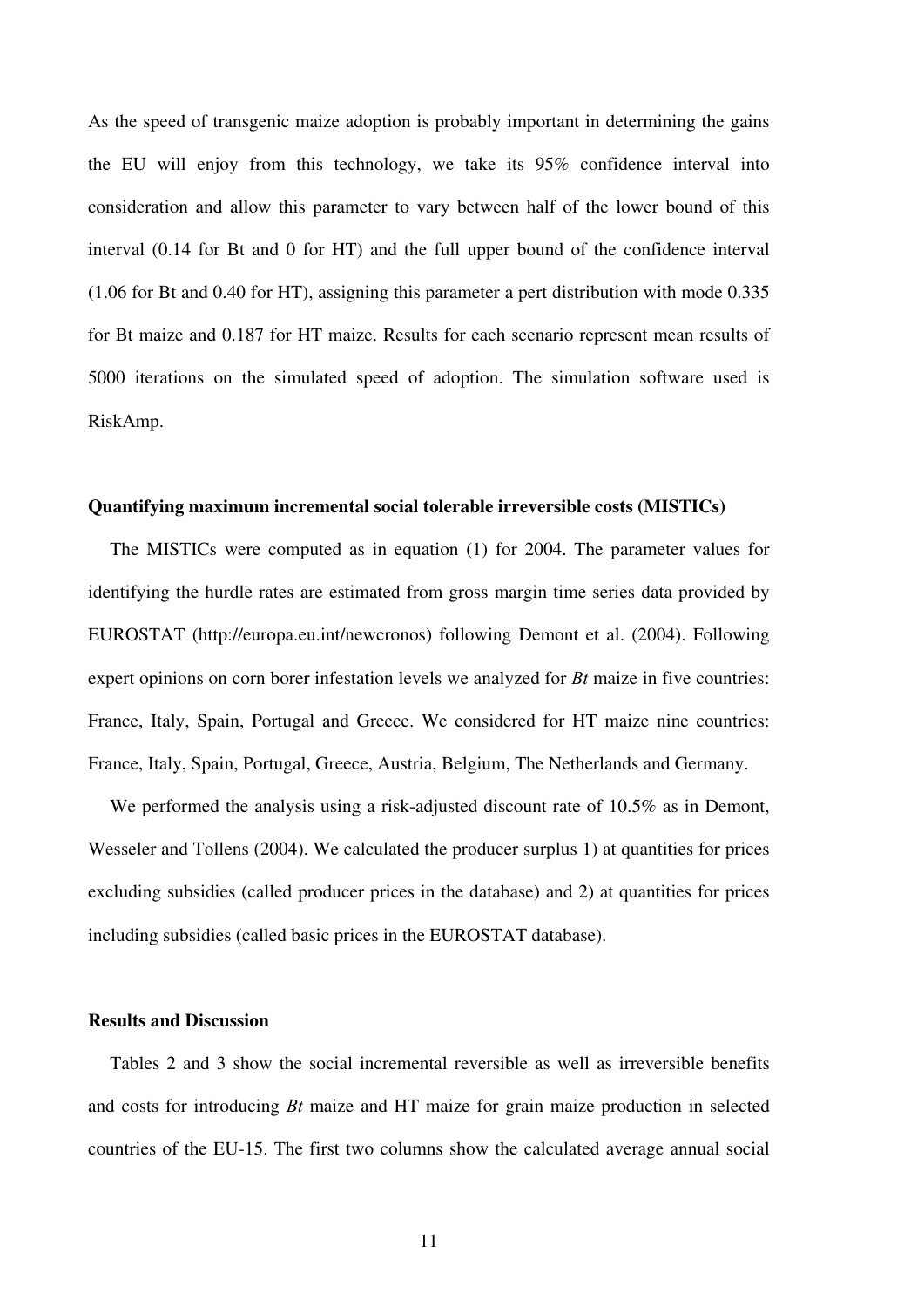As the speed of transgenic maize adoption is probably important in determining the gains the EU will enjoy from this technology, we take its 95% confidence interval into consideration and allow this parameter to vary between half of the lower bound of this interval (0.14 for Bt and 0 for HT) and the full upper bound of the confidence interval (1.06 for Bt and 0.40 for HT), assigning this parameter a pert distribution with mode 0.335 for Bt maize and 0.187 for HT maize. Results for each scenario represent mean results of 5000 iterations on the simulated speed of adoption. The simulation software used is RiskAmp.

## **Quantifying maximum incremental social tolerable irreversible costs (MISTICs)**

The MISTICs were computed as in equation (1) for 2004. The parameter values for identifying the hurdle rates are estimated from gross margin time series data provided by EUROSTAT (http://europa.eu.int/newcronos) following Demont et al. (2004). Following expert opinions on corn borer infestation levels we analyzed for *Bt* maize in five countries: France, Italy, Spain, Portugal and Greece. We considered for HT maize nine countries: France, Italy, Spain, Portugal, Greece, Austria, Belgium, The Netherlands and Germany.

We performed the analysis using a risk-adjusted discount rate of 10.5% as in Demont, Wesseler and Tollens (2004). We calculated the producer surplus 1) at quantities for prices excluding subsidies (called producer prices in the database) and 2) at quantities for prices including subsidies (called basic prices in the EUROSTAT database).

#### **Results and Discussion**

Tables 2 and 3 show the social incremental reversible as well as irreversible benefits and costs for introducing *Bt* maize and HT maize for grain maize production in selected countries of the EU-15. The first two columns show the calculated average annual social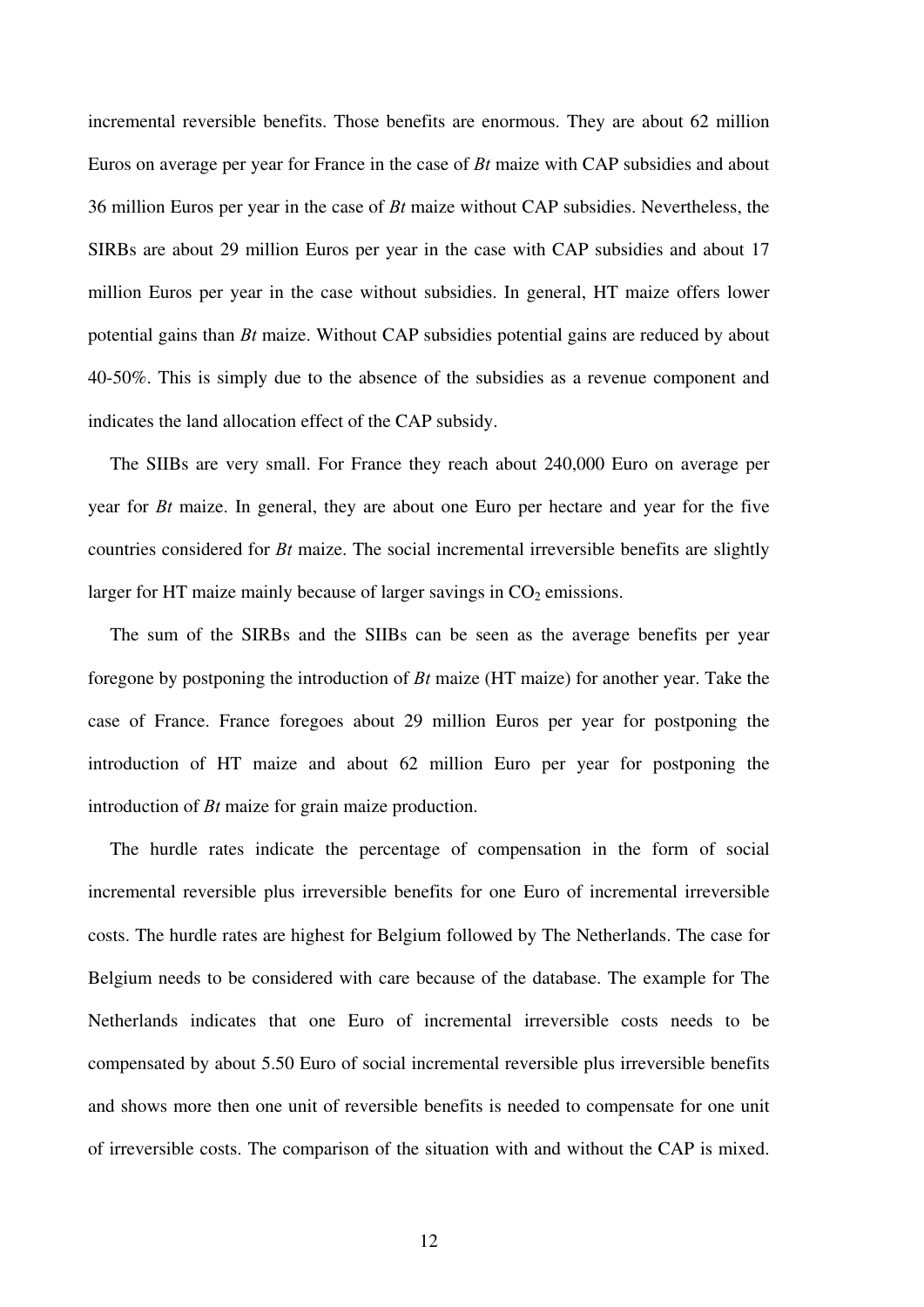incremental reversible benefits. Those benefits are enormous. They are about 62 million Euros on average per year for France in the case of *Bt* maize with CAP subsidies and about 36 million Euros per year in the case of *Bt* maize without CAP subsidies. Nevertheless, the SIRBs are about 29 million Euros per year in the case with CAP subsidies and about 17 million Euros per year in the case without subsidies. In general, HT maize offers lower potential gains than *Bt* maize. Without CAP subsidies potential gains are reduced by about 40-50%. This is simply due to the absence of the subsidies as a revenue component and indicates the land allocation effect of the CAP subsidy.

The SIIBs are very small. For France they reach about 240,000 Euro on average per year for *Bt* maize. In general, they are about one Euro per hectare and year for the five countries considered for *Bt* maize. The social incremental irreversible benefits are slightly larger for HT maize mainly because of larger savings in  $CO<sub>2</sub>$  emissions.

The sum of the SIRBs and the SIIBs can be seen as the average benefits per year foregone by postponing the introduction of *Bt* maize (HT maize) for another year. Take the case of France. France foregoes about 29 million Euros per year for postponing the introduction of HT maize and about 62 million Euro per year for postponing the introduction of *Bt* maize for grain maize production.

The hurdle rates indicate the percentage of compensation in the form of social incremental reversible plus irreversible benefits for one Euro of incremental irreversible costs. The hurdle rates are highest for Belgium followed by The Netherlands. The case for Belgium needs to be considered with care because of the database. The example for The Netherlands indicates that one Euro of incremental irreversible costs needs to be compensated by about 5.50 Euro of social incremental reversible plus irreversible benefits and shows more then one unit of reversible benefits is needed to compensate for one unit of irreversible costs. The comparison of the situation with and without the CAP is mixed.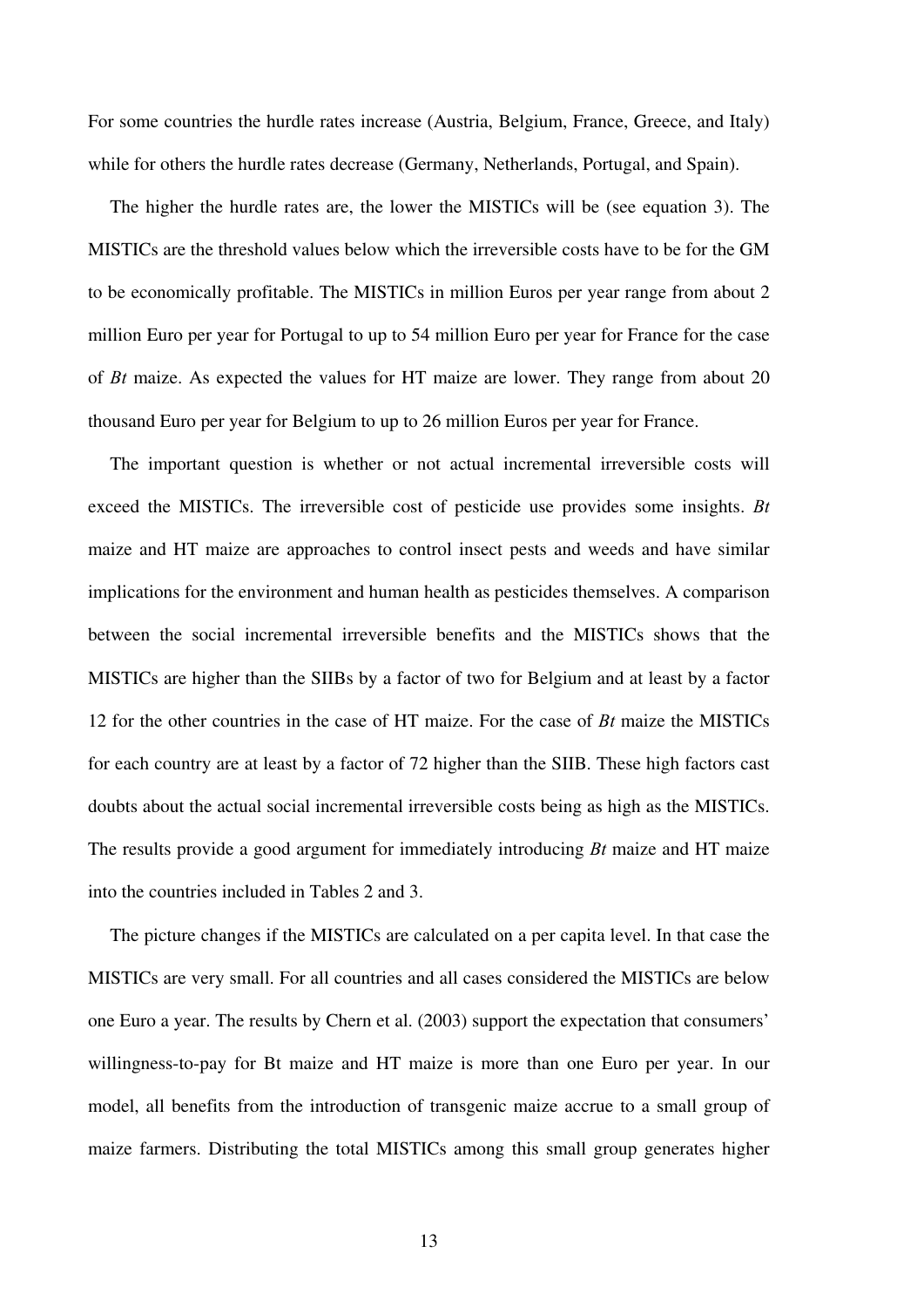For some countries the hurdle rates increase (Austria, Belgium, France, Greece, and Italy) while for others the hurdle rates decrease (Germany, Netherlands, Portugal, and Spain).

The higher the hurdle rates are, the lower the MISTICs will be (see equation 3). The MISTICs are the threshold values below which the irreversible costs have to be for the GM to be economically profitable. The MISTICs in million Euros per year range from about 2 million Euro per year for Portugal to up to 54 million Euro per year for France for the case of *Bt* maize. As expected the values for HT maize are lower. They range from about 20 thousand Euro per year for Belgium to up to 26 million Euros per year for France.

The important question is whether or not actual incremental irreversible costs will exceed the MISTICs. The irreversible cost of pesticide use provides some insights. *Bt*  maize and HT maize are approaches to control insect pests and weeds and have similar implications for the environment and human health as pesticides themselves. A comparison between the social incremental irreversible benefits and the MISTICs shows that the MISTICs are higher than the SIIBs by a factor of two for Belgium and at least by a factor 12 for the other countries in the case of HT maize. For the case of *Bt* maize the MISTICs for each country are at least by a factor of 72 higher than the SIIB. These high factors cast doubts about the actual social incremental irreversible costs being as high as the MISTICs. The results provide a good argument for immediately introducing *Bt* maize and HT maize into the countries included in Tables 2 and 3.

The picture changes if the MISTICs are calculated on a per capita level. In that case the MISTICs are very small. For all countries and all cases considered the MISTICs are below one Euro a year. The results by Chern et al. (2003) support the expectation that consumers' willingness-to-pay for Bt maize and HT maize is more than one Euro per year. In our model, all benefits from the introduction of transgenic maize accrue to a small group of maize farmers. Distributing the total MISTICs among this small group generates higher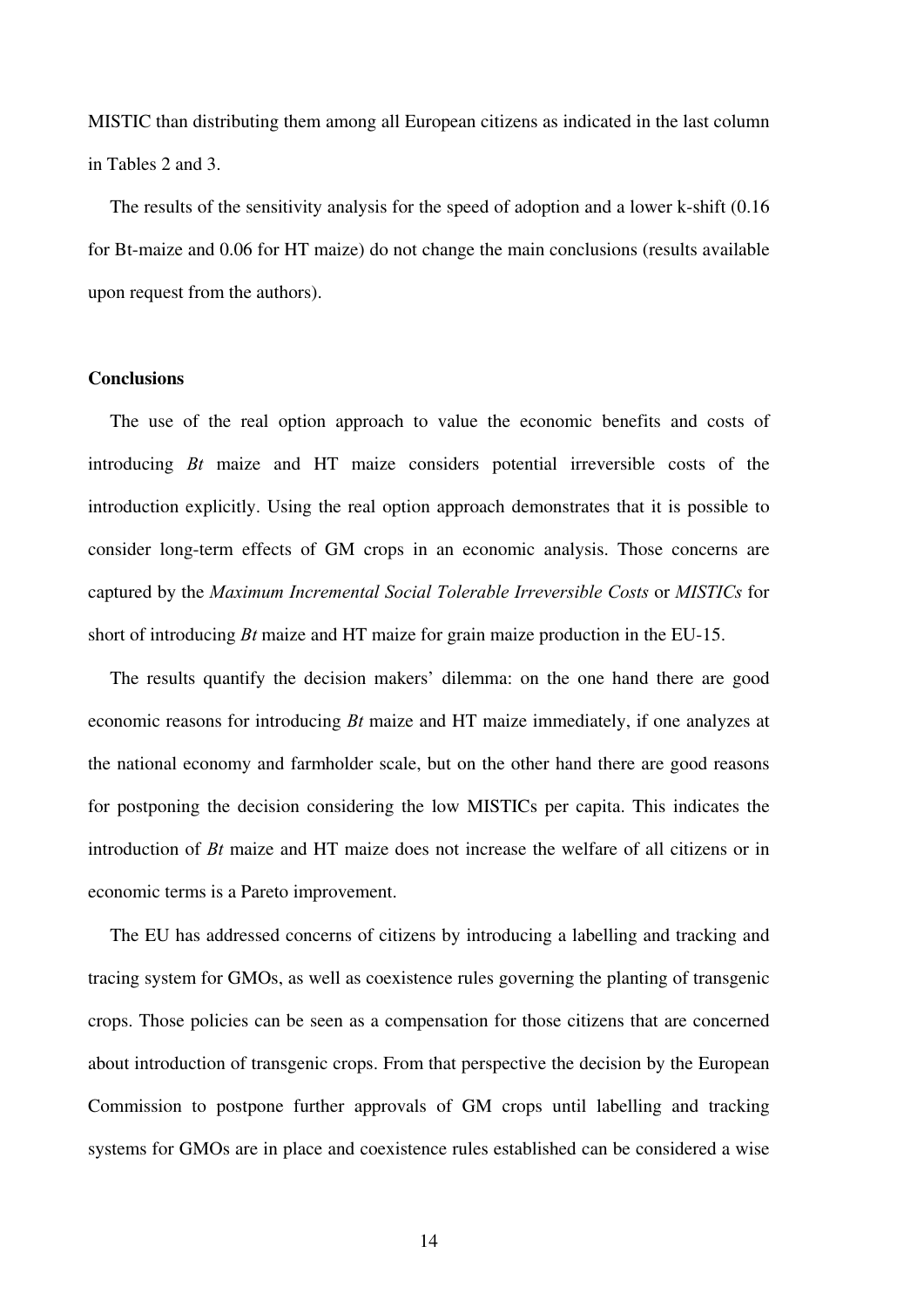MISTIC than distributing them among all European citizens as indicated in the last column in Tables 2 and 3.

The results of the sensitivity analysis for the speed of adoption and a lower k-shift (0.16 for Bt-maize and 0.06 for HT maize) do not change the main conclusions (results available upon request from the authors).

### **Conclusions**

The use of the real option approach to value the economic benefits and costs of introducing *Bt* maize and HT maize considers potential irreversible costs of the introduction explicitly. Using the real option approach demonstrates that it is possible to consider long-term effects of GM crops in an economic analysis. Those concerns are captured by the *Maximum Incremental Social Tolerable Irreversible Costs* or *MISTICs* for short of introducing *Bt* maize and HT maize for grain maize production in the EU-15.

The results quantify the decision makers' dilemma: on the one hand there are good economic reasons for introducing *Bt* maize and HT maize immediately, if one analyzes at the national economy and farmholder scale, but on the other hand there are good reasons for postponing the decision considering the low MISTICs per capita. This indicates the introduction of *Bt* maize and HT maize does not increase the welfare of all citizens or in economic terms is a Pareto improvement.

The EU has addressed concerns of citizens by introducing a labelling and tracking and tracing system for GMOs, as well as coexistence rules governing the planting of transgenic crops. Those policies can be seen as a compensation for those citizens that are concerned about introduction of transgenic crops. From that perspective the decision by the European Commission to postpone further approvals of GM crops until labelling and tracking systems for GMOs are in place and coexistence rules established can be considered a wise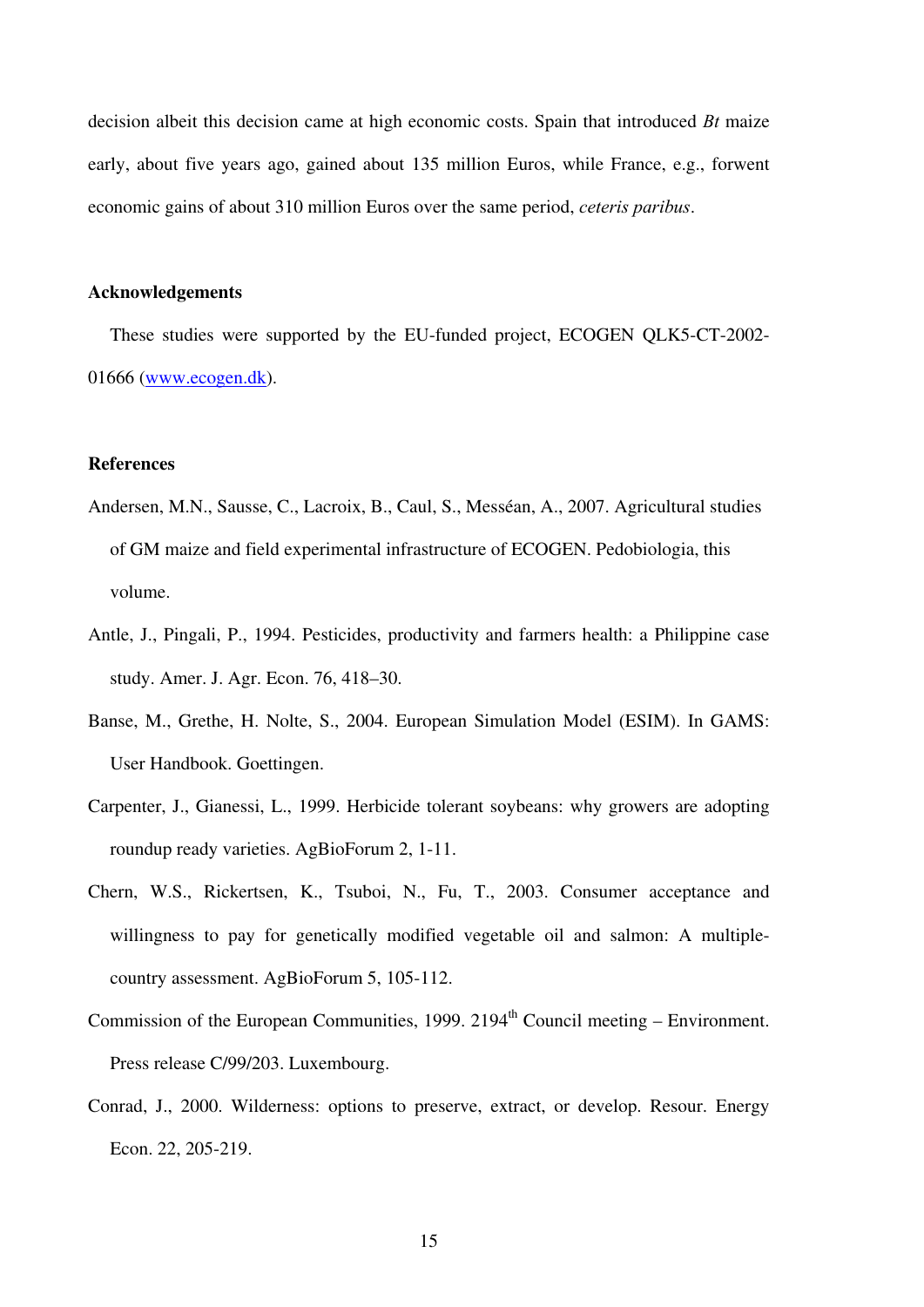decision albeit this decision came at high economic costs. Spain that introduced *Bt* maize early, about five years ago, gained about 135 million Euros, while France, e.g., forwent economic gains of about 310 million Euros over the same period, *ceteris paribus*.

### **Acknowledgements**

These studies were supported by the EU-funded project, ECOGEN QLK5-CT-2002- 01666 (www.ecogen.dk).

### **References**

- Andersen, M.N., Sausse, C., Lacroix, B., Caul, S., Messéan, A., 2007. Agricultural studies of GM maize and field experimental infrastructure of ECOGEN. Pedobiologia, this volume.
- Antle, J., Pingali, P., 1994. Pesticides, productivity and farmers health: a Philippine case study. Amer. J. Agr. Econ. 76, 418–30.
- Banse, M., Grethe, H. Nolte, S., 2004. European Simulation Model (ESIM). In GAMS: User Handbook. Goettingen.
- Carpenter, J., Gianessi, L., 1999. Herbicide tolerant soybeans: why growers are adopting roundup ready varieties. AgBioForum 2, 1-11.
- Chern, W.S., Rickertsen, K., Tsuboi, N., Fu, T., 2003. Consumer acceptance and willingness to pay for genetically modified vegetable oil and salmon: A multiplecountry assessment. AgBioForum 5, 105-112.
- Commission of the European Communities, 1999.  $2194<sup>th</sup>$  Council meeting Environment. Press release C/99/203. Luxembourg.
- Conrad, J., 2000. Wilderness: options to preserve, extract, or develop. Resour. Energy Econ. 22, 205-219.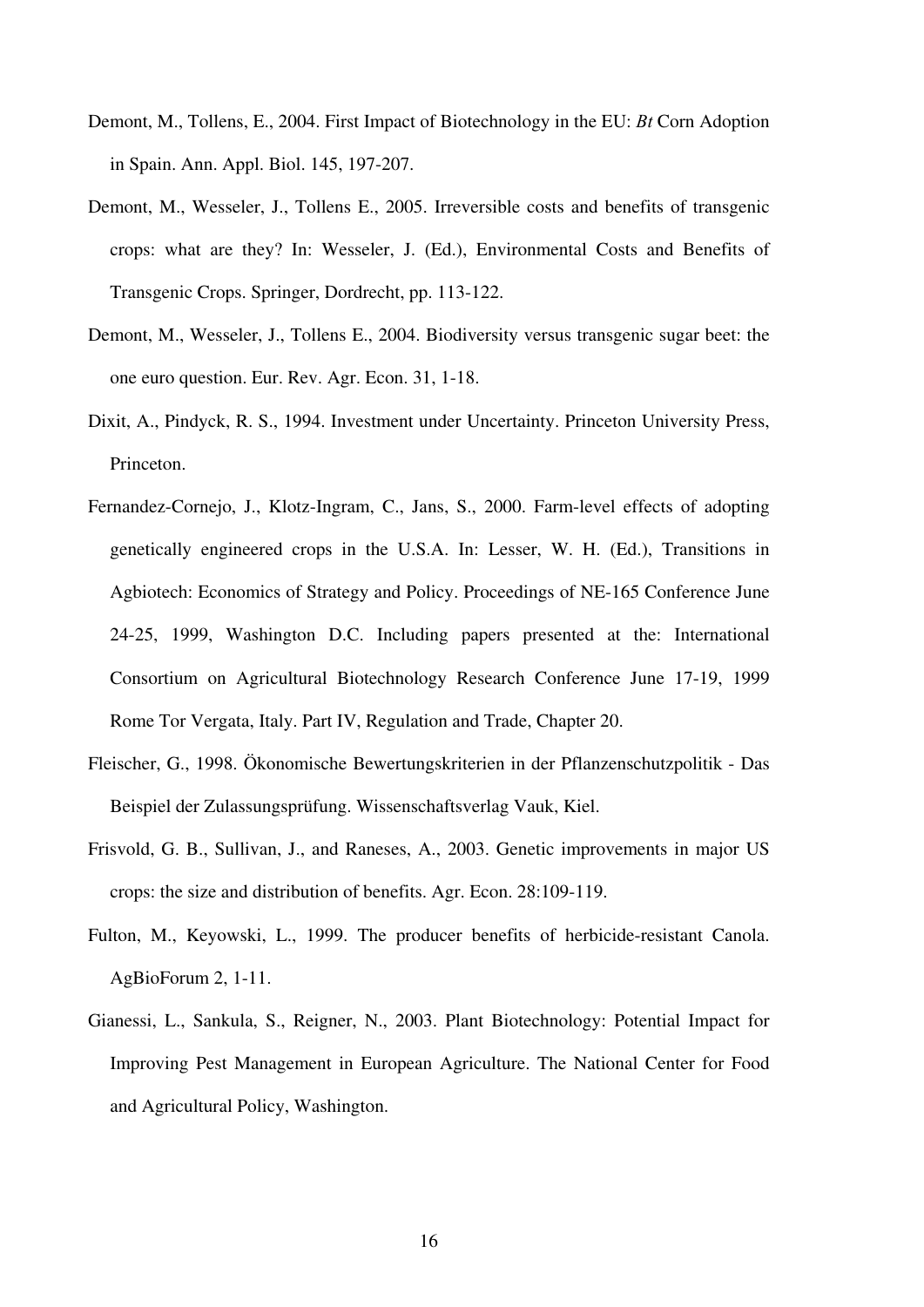- Demont, M., Tollens, E., 2004. First Impact of Biotechnology in the EU: *Bt* Corn Adoption in Spain. Ann. Appl. Biol. 145, 197-207.
- Demont, M., Wesseler, J., Tollens E., 2005. Irreversible costs and benefits of transgenic crops: what are they? In: Wesseler, J. (Ed.), Environmental Costs and Benefits of Transgenic Crops. Springer, Dordrecht, pp. 113-122.
- Demont, M., Wesseler, J., Tollens E., 2004. Biodiversity versus transgenic sugar beet: the one euro question. Eur. Rev. Agr. Econ. 31, 1-18.
- Dixit, A., Pindyck, R. S., 1994. Investment under Uncertainty. Princeton University Press, Princeton.
- Fernandez-Cornejo, J., Klotz-Ingram, C., Jans, S., 2000. Farm-level effects of adopting genetically engineered crops in the U.S.A. In: Lesser, W. H. (Ed.), Transitions in Agbiotech: Economics of Strategy and Policy. Proceedings of NE-165 Conference June 24-25, 1999, Washington D.C. Including papers presented at the: International Consortium on Agricultural Biotechnology Research Conference June 17-19, 1999 Rome Tor Vergata, Italy. Part IV, Regulation and Trade, Chapter 20.
- Fleischer, G., 1998. Ökonomische Bewertungskriterien in der Pflanzenschutzpolitik Das Beispiel der Zulassungsprüfung. Wissenschaftsverlag Vauk, Kiel.
- Frisvold, G. B., Sullivan, J., and Raneses, A., 2003. Genetic improvements in major US crops: the size and distribution of benefits. Agr. Econ. 28:109-119.
- Fulton, M., Keyowski, L., 1999. The producer benefits of herbicide-resistant Canola. AgBioForum 2, 1-11.
- Gianessi, L., Sankula, S., Reigner, N., 2003. Plant Biotechnology: Potential Impact for Improving Pest Management in European Agriculture. The National Center for Food and Agricultural Policy, Washington.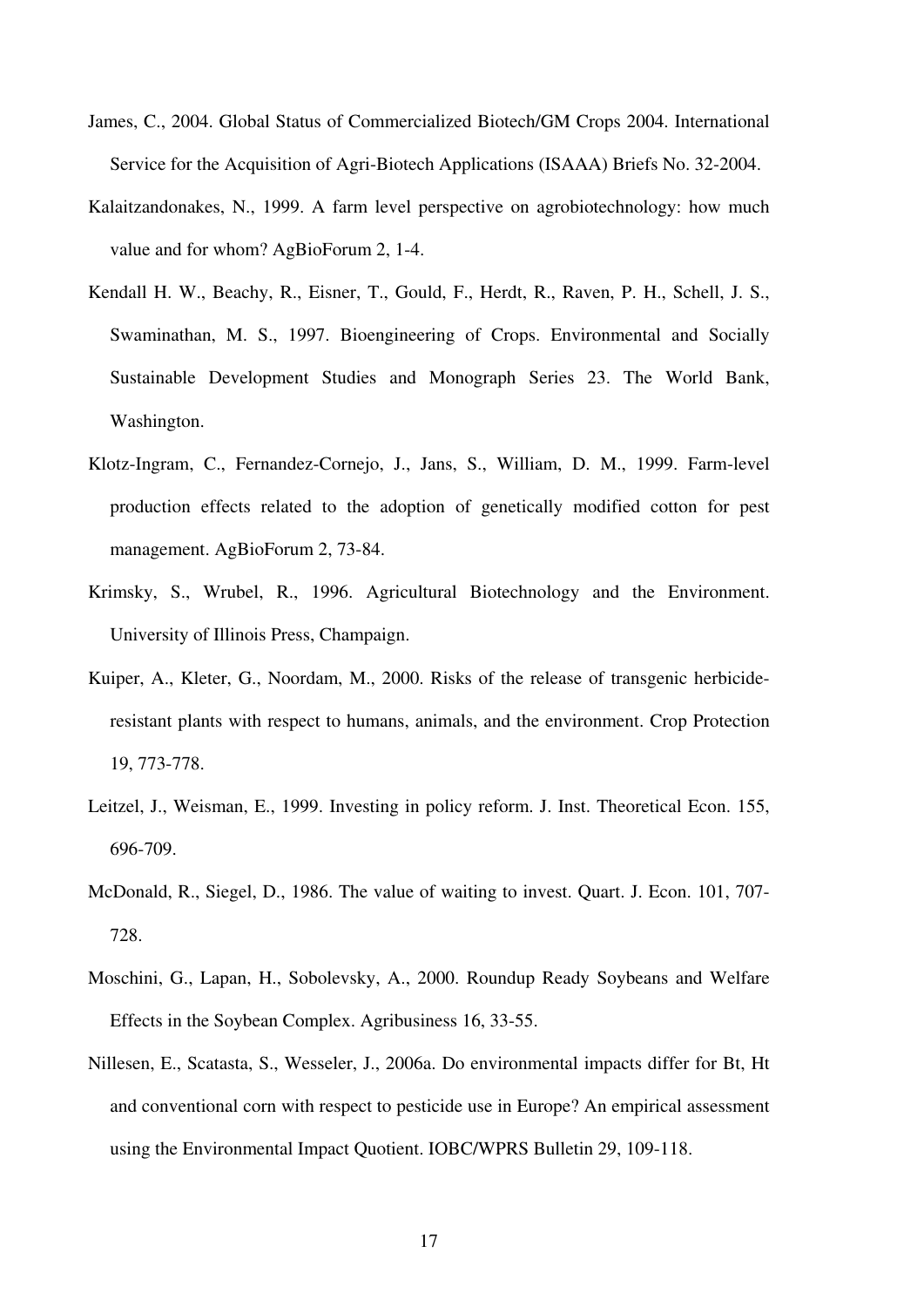- James, C., 2004. Global Status of Commercialized Biotech/GM Crops 2004. International Service for the Acquisition of Agri-Biotech Applications (ISAAA) Briefs No. 32-2004.
- Kalaitzandonakes, N., 1999. A farm level perspective on agrobiotechnology: how much value and for whom? AgBioForum 2, 1-4.
- Kendall H. W., Beachy, R., Eisner, T., Gould, F., Herdt, R., Raven, P. H., Schell, J. S., Swaminathan, M. S., 1997. Bioengineering of Crops. Environmental and Socially Sustainable Development Studies and Monograph Series 23. The World Bank, Washington.
- Klotz-Ingram, C., Fernandez-Cornejo, J., Jans, S., William, D. M., 1999. Farm-level production effects related to the adoption of genetically modified cotton for pest management. AgBioForum 2, 73-84.
- Krimsky, S., Wrubel, R., 1996. Agricultural Biotechnology and the Environment. University of Illinois Press, Champaign.
- Kuiper, A., Kleter, G., Noordam, M., 2000. Risks of the release of transgenic herbicideresistant plants with respect to humans, animals, and the environment. Crop Protection 19, 773-778.
- Leitzel, J., Weisman, E., 1999. Investing in policy reform. J. Inst. Theoretical Econ. 155, 696-709.
- McDonald, R., Siegel, D., 1986. The value of waiting to invest. Quart. J. Econ. 101, 707- 728.
- Moschini, G., Lapan, H., Sobolevsky, A., 2000. Roundup Ready Soybeans and Welfare Effects in the Soybean Complex. Agribusiness 16, 33-55.
- Nillesen, E., Scatasta, S., Wesseler, J., 2006a. Do environmental impacts differ for Bt, Ht and conventional corn with respect to pesticide use in Europe? An empirical assessment using the Environmental Impact Quotient. IOBC/WPRS Bulletin 29, 109-118.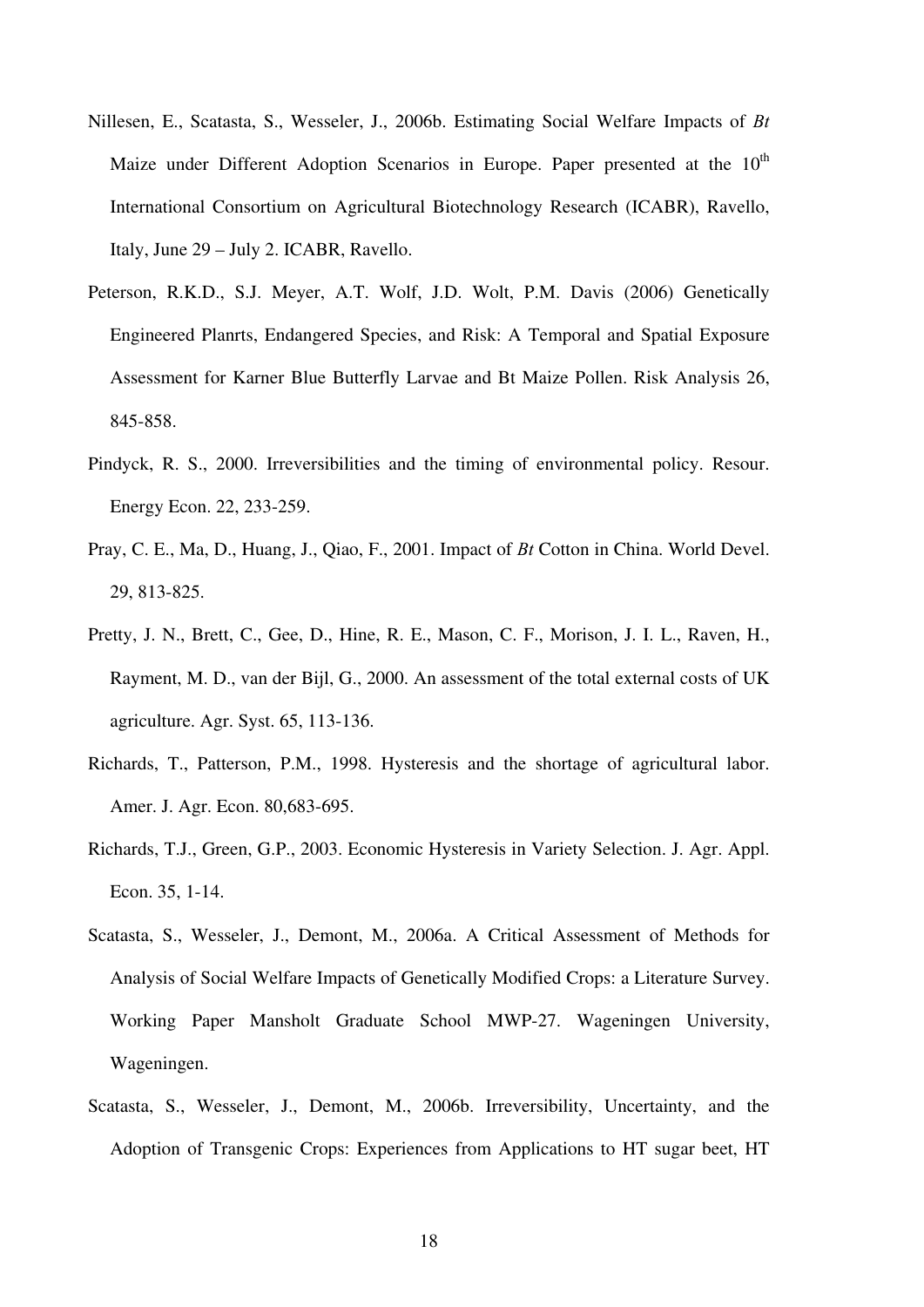- Nillesen, E., Scatasta, S., Wesseler, J., 2006b. Estimating Social Welfare Impacts of *Bt*  Maize under Different Adoption Scenarios in Europe. Paper presented at the  $10<sup>th</sup>$ International Consortium on Agricultural Biotechnology Research (ICABR), Ravello, Italy, June 29 – July 2. ICABR, Ravello.
- Peterson, R.K.D., S.J. Meyer, A.T. Wolf, J.D. Wolt, P.M. Davis (2006) Genetically Engineered Planrts, Endangered Species, and Risk: A Temporal and Spatial Exposure Assessment for Karner Blue Butterfly Larvae and Bt Maize Pollen. Risk Analysis 26, 845-858.
- Pindyck, R. S., 2000. Irreversibilities and the timing of environmental policy. Resour. Energy Econ. 22, 233-259.
- Pray, C. E., Ma, D., Huang, J., Qiao, F., 2001. Impact of *Bt* Cotton in China. World Devel. 29, 813-825.
- Pretty, J. N., Brett, C., Gee, D., Hine, R. E., Mason, C. F., Morison, J. I. L., Raven, H., Rayment, M. D., van der Bijl, G., 2000. An assessment of the total external costs of UK agriculture. Agr. Syst. 65, 113-136.
- Richards, T., Patterson, P.M., 1998. Hysteresis and the shortage of agricultural labor. Amer. J. Agr. Econ. 80,683-695.
- Richards, T.J., Green, G.P., 2003. Economic Hysteresis in Variety Selection. J. Agr. Appl. Econ. 35, 1-14.
- Scatasta, S., Wesseler, J., Demont, M., 2006a. A Critical Assessment of Methods for Analysis of Social Welfare Impacts of Genetically Modified Crops: a Literature Survey. Working Paper Mansholt Graduate School MWP-27. Wageningen University, Wageningen.
- Scatasta, S., Wesseler, J., Demont, M., 2006b. Irreversibility, Uncertainty, and the Adoption of Transgenic Crops: Experiences from Applications to HT sugar beet, HT